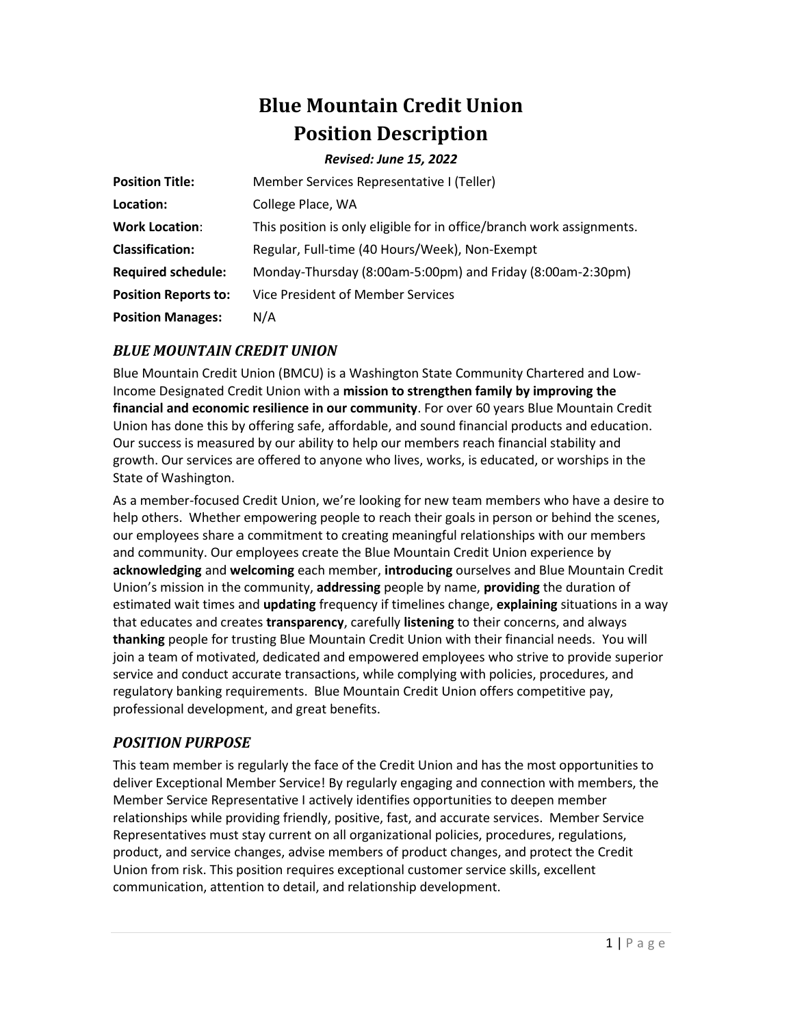# **Blue Mountain Credit Union Position Description**

#### *Revised: June 15, 2022*

| <b>Position Title:</b>      | Member Services Representative I (Teller)                             |
|-----------------------------|-----------------------------------------------------------------------|
| Location:                   | College Place, WA                                                     |
| <b>Work Location:</b>       | This position is only eligible for in office/branch work assignments. |
| <b>Classification:</b>      | Regular, Full-time (40 Hours/Week), Non-Exempt                        |
| <b>Required schedule:</b>   | Monday-Thursday (8:00am-5:00pm) and Friday (8:00am-2:30pm)            |
| <b>Position Reports to:</b> | Vice President of Member Services                                     |
| <b>Position Manages:</b>    | N/A                                                                   |

# *BLUE MOUNTAIN CREDIT UNION*

Blue Mountain Credit Union (BMCU) is a Washington State Community Chartered and Low-Income Designated Credit Union with a **mission to strengthen family by improving the financial and economic resilience in our community**. For over 60 years Blue Mountain Credit Union has done this by offering safe, affordable, and sound financial products and education. Our success is measured by our ability to help our members reach financial stability and growth. Our services are offered to anyone who lives, works, is educated, or worships in the State of Washington.

As a member-focused Credit Union, we're looking for new team members who have a desire to help others. Whether empowering people to reach their goals in person or behind the scenes, our employees share a commitment to creating meaningful relationships with our members and community. Our employees create the Blue Mountain Credit Union experience by **acknowledging** and **welcoming** each member, **introducing** ourselves and Blue Mountain Credit Union's mission in the community, **addressing** people by name, **providing** the duration of estimated wait times and **updating** frequency if timelines change, **explaining** situations in a way that educates and creates **transparency**, carefully **listening** to their concerns, and always **thanking** people for trusting Blue Mountain Credit Union with their financial needs. You will join a team of motivated, dedicated and empowered employees who strive to provide superior service and conduct accurate transactions, while complying with policies, procedures, and regulatory banking requirements. Blue Mountain Credit Union offers competitive pay, professional development, and great benefits.

# *POSITION PURPOSE*

This team member is regularly the face of the Credit Union and has the most opportunities to deliver Exceptional Member Service! By regularly engaging and connection with members, the Member Service Representative I actively identifies opportunities to deepen member relationships while providing friendly, positive, fast, and accurate services. Member Service Representatives must stay current on all organizational policies, procedures, regulations, product, and service changes, advise members of product changes, and protect the Credit Union from risk. This position requires exceptional customer service skills, excellent communication, attention to detail, and relationship development.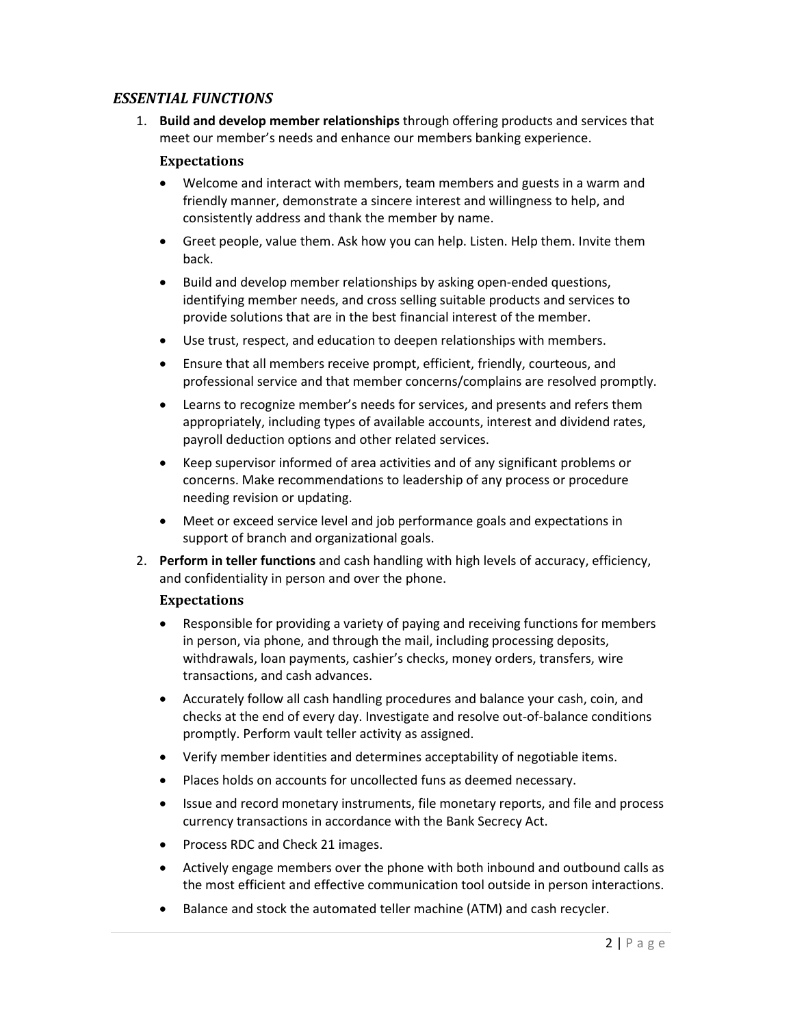## *ESSENTIAL FUNCTIONS*

1. **Build and develop member relationships** through offering products and services that meet our member's needs and enhance our members banking experience.

#### **Expectations**

- Welcome and interact with members, team members and guests in a warm and friendly manner, demonstrate a sincere interest and willingness to help, and consistently address and thank the member by name.
- Greet people, value them. Ask how you can help. Listen. Help them. Invite them back.
- Build and develop member relationships by asking open-ended questions, identifying member needs, and cross selling suitable products and services to provide solutions that are in the best financial interest of the member.
- Use trust, respect, and education to deepen relationships with members.
- Ensure that all members receive prompt, efficient, friendly, courteous, and professional service and that member concerns/complains are resolved promptly.
- Learns to recognize member's needs for services, and presents and refers them appropriately, including types of available accounts, interest and dividend rates, payroll deduction options and other related services.
- Keep supervisor informed of area activities and of any significant problems or concerns. Make recommendations to leadership of any process or procedure needing revision or updating.
- Meet or exceed service level and job performance goals and expectations in support of branch and organizational goals.
- 2. **Perform in teller functions** and cash handling with high levels of accuracy, efficiency, and confidentiality in person and over the phone.

## **Expectations**

- Responsible for providing a variety of paying and receiving functions for members in person, via phone, and through the mail, including processing deposits, withdrawals, loan payments, cashier's checks, money orders, transfers, wire transactions, and cash advances.
- Accurately follow all cash handling procedures and balance your cash, coin, and checks at the end of every day. Investigate and resolve out-of-balance conditions promptly. Perform vault teller activity as assigned.
- Verify member identities and determines acceptability of negotiable items.
- Places holds on accounts for uncollected funs as deemed necessary.
- Issue and record monetary instruments, file monetary reports, and file and process currency transactions in accordance with the Bank Secrecy Act.
- Process RDC and Check 21 images.
- Actively engage members over the phone with both inbound and outbound calls as the most efficient and effective communication tool outside in person interactions.
- Balance and stock the automated teller machine (ATM) and cash recycler.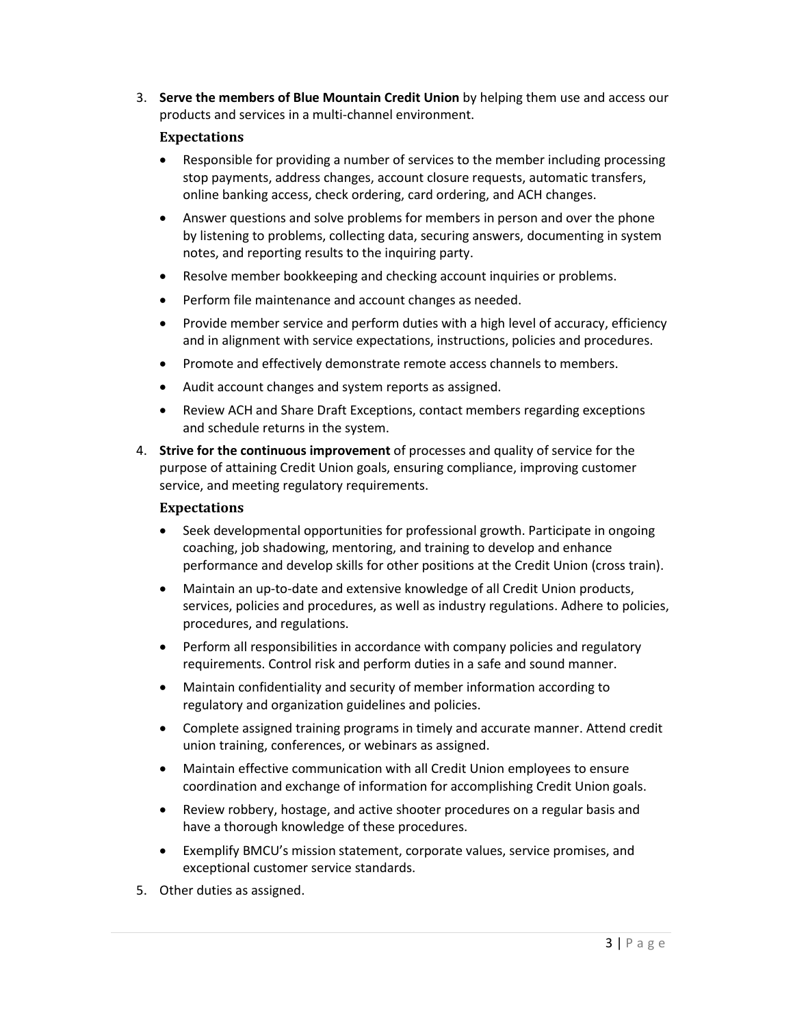3. **Serve the members of Blue Mountain Credit Union** by helping them use and access our products and services in a multi-channel environment.

#### **Expectations**

- Responsible for providing a number of services to the member including processing stop payments, address changes, account closure requests, automatic transfers, online banking access, check ordering, card ordering, and ACH changes.
- Answer questions and solve problems for members in person and over the phone by listening to problems, collecting data, securing answers, documenting in system notes, and reporting results to the inquiring party.
- Resolve member bookkeeping and checking account inquiries or problems.
- Perform file maintenance and account changes as needed.
- Provide member service and perform duties with a high level of accuracy, efficiency and in alignment with service expectations, instructions, policies and procedures.
- Promote and effectively demonstrate remote access channels to members.
- Audit account changes and system reports as assigned.
- Review ACH and Share Draft Exceptions, contact members regarding exceptions and schedule returns in the system.
- 4. **Strive for the continuous improvement** of processes and quality of service for the purpose of attaining Credit Union goals, ensuring compliance, improving customer service, and meeting regulatory requirements.

#### **Expectations**

- Seek developmental opportunities for professional growth. Participate in ongoing coaching, job shadowing, mentoring, and training to develop and enhance performance and develop skills for other positions at the Credit Union (cross train).
- Maintain an up-to-date and extensive knowledge of all Credit Union products, services, policies and procedures, as well as industry regulations. Adhere to policies, procedures, and regulations.
- Perform all responsibilities in accordance with company policies and regulatory requirements. Control risk and perform duties in a safe and sound manner.
- Maintain confidentiality and security of member information according to regulatory and organization guidelines and policies.
- Complete assigned training programs in timely and accurate manner. Attend credit union training, conferences, or webinars as assigned.
- Maintain effective communication with all Credit Union employees to ensure coordination and exchange of information for accomplishing Credit Union goals.
- Review robbery, hostage, and active shooter procedures on a regular basis and have a thorough knowledge of these procedures.
- Exemplify BMCU's mission statement, corporate values, service promises, and exceptional customer service standards.
- 5. Other duties as assigned.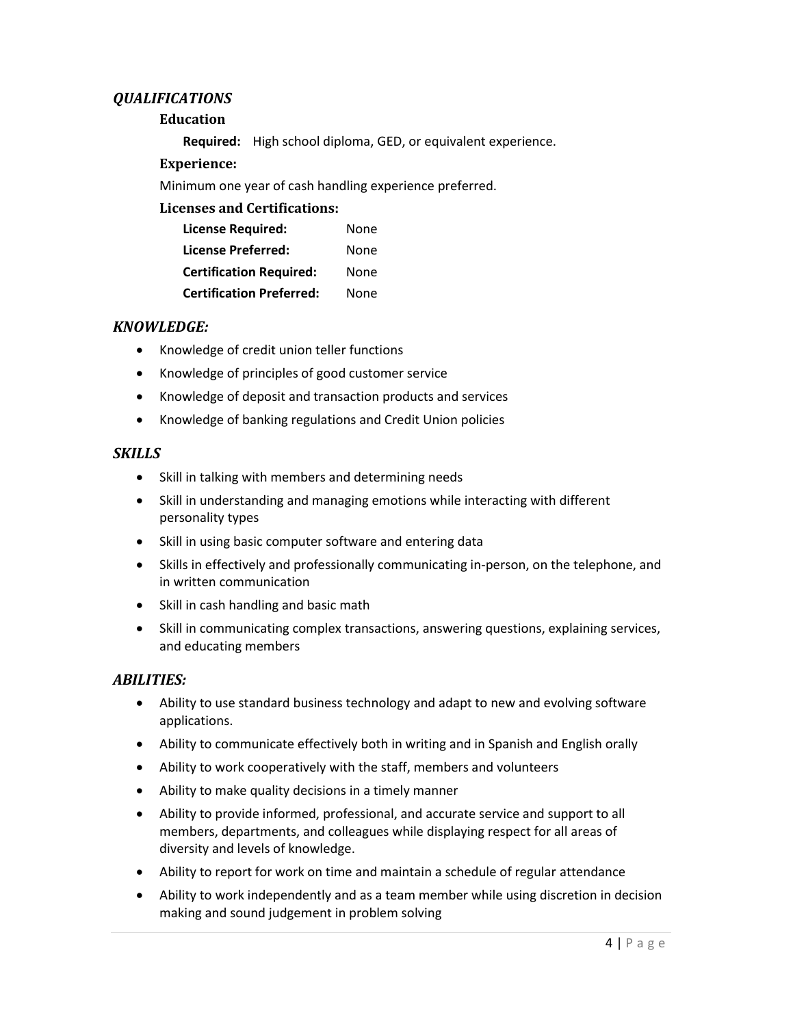## *QUALIFICATIONS*

## **Education**

**Required:** High school diploma, GED, or equivalent experience.

## **Experience:**

Minimum one year of cash handling experience preferred.

## **Licenses and Certifications:**

| <b>License Required:</b>        | None |
|---------------------------------|------|
| <b>License Preferred:</b>       | None |
| <b>Certification Required:</b>  | None |
| <b>Certification Preferred:</b> | None |

## *KNOWLEDGE:*

- Knowledge of credit union teller functions
- Knowledge of principles of good customer service
- Knowledge of deposit and transaction products and services
- Knowledge of banking regulations and Credit Union policies

## *SKILLS*

- Skill in talking with members and determining needs
- Skill in understanding and managing emotions while interacting with different personality types
- Skill in using basic computer software and entering data
- Skills in effectively and professionally communicating in-person, on the telephone, and in written communication
- Skill in cash handling and basic math
- Skill in communicating complex transactions, answering questions, explaining services, and educating members

## *ABILITIES:*

- Ability to use standard business technology and adapt to new and evolving software applications.
- Ability to communicate effectively both in writing and in Spanish and English orally
- Ability to work cooperatively with the staff, members and volunteers
- Ability to make quality decisions in a timely manner
- Ability to provide informed, professional, and accurate service and support to all members, departments, and colleagues while displaying respect for all areas of diversity and levels of knowledge.
- Ability to report for work on time and maintain a schedule of regular attendance
- Ability to work independently and as a team member while using discretion in decision making and sound judgement in problem solving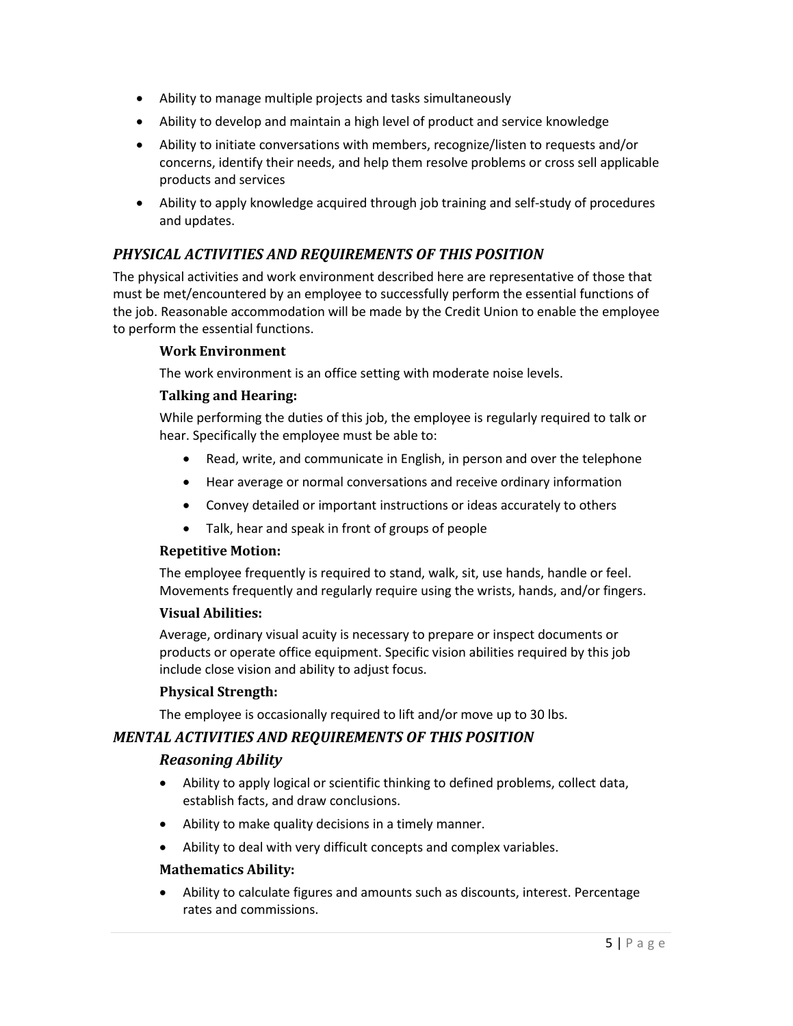- Ability to manage multiple projects and tasks simultaneously
- Ability to develop and maintain a high level of product and service knowledge
- Ability to initiate conversations with members, recognize/listen to requests and/or concerns, identify their needs, and help them resolve problems or cross sell applicable products and services
- Ability to apply knowledge acquired through job training and self-study of procedures and updates.

## *PHYSICAL ACTIVITIES AND REQUIREMENTS OF THIS POSITION*

The physical activities and work environment described here are representative of those that must be met/encountered by an employee to successfully perform the essential functions of the job. Reasonable accommodation will be made by the Credit Union to enable the employee to perform the essential functions.

#### **Work Environment**

The work environment is an office setting with moderate noise levels.

#### **Talking and Hearing:**

While performing the duties of this job, the employee is regularly required to talk or hear. Specifically the employee must be able to:

- Read, write, and communicate in English, in person and over the telephone
- Hear average or normal conversations and receive ordinary information
- Convey detailed or important instructions or ideas accurately to others
- Talk, hear and speak in front of groups of people

#### **Repetitive Motion:**

The employee frequently is required to stand, walk, sit, use hands, handle or feel. Movements frequently and regularly require using the wrists, hands, and/or fingers.

#### **Visual Abilities:**

Average, ordinary visual acuity is necessary to prepare or inspect documents or products or operate office equipment. Specific vision abilities required by this job include close vision and ability to adjust focus.

#### **Physical Strength:**

The employee is occasionally required to lift and/or move up to 30 lbs.

## *MENTAL ACTIVITIES AND REQUIREMENTS OF THIS POSITION*

#### *Reasoning Ability*

- Ability to apply logical or scientific thinking to defined problems, collect data, establish facts, and draw conclusions.
- Ability to make quality decisions in a timely manner.
- Ability to deal with very difficult concepts and complex variables.

#### **Mathematics Ability:**

• Ability to calculate figures and amounts such as discounts, interest. Percentage rates and commissions.